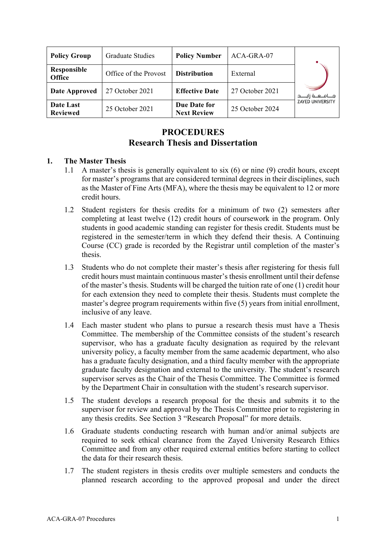| <b>Policy Group</b>          | Graduate Studies      | <b>Policy Number</b>               | ACA-GRA-07      |                         |
|------------------------------|-----------------------|------------------------------------|-----------------|-------------------------|
| Responsible<br><b>Office</b> | Office of the Provost | <b>Distribution</b>                | External        |                         |
| <b>Date Approved</b>         | 27 October 2021       | <b>Effective Date</b>              | 27 October 2021 |                         |
| Date Last<br><b>Reviewed</b> | 25 October 2021       | Due Date for<br><b>Next Review</b> | 25 October 2024 | <b>ZAYED UNIVERSITY</b> |

# **PROCEDURES Research Thesis and Dissertation**

## **1. The Master Thesis**

- 1.1 A master's thesis is generally equivalent to six (6) or nine (9) credit hours, except for master's programs that are considered terminal degrees in their disciplines, such as the Master of Fine Arts (MFA), where the thesis may be equivalent to 12 or more credit hours.
- 1.2 Student registers for thesis credits for a minimum of two (2) semesters after completing at least twelve (12) credit hours of coursework in the program. Only students in good academic standing can register for thesis credit. Students must be registered in the semester/term in which they defend their thesis. A Continuing Course (CC) grade is recorded by the Registrar until completion of the master's thesis.
- 1.3 Students who do not complete their master's thesis after registering for thesis full credit hours must maintain continuous master's thesis enrollment until their defense of the master's thesis. Students will be charged the tuition rate of one (1) credit hour for each extension they need to complete their thesis. Students must complete the master's degree program requirements within five (5) years from initial enrollment, inclusive of any leave.
- 1.4 Each master student who plans to pursue a research thesis must have a Thesis Committee. The membership of the Committee consists of the student's research supervisor, who has a graduate faculty designation as required by the relevant university policy, a faculty member from the same academic department, who also has a graduate faculty designation, and a third faculty member with the appropriate graduate faculty designation and external to the university. The student's research supervisor serves as the Chair of the Thesis Committee. The Committee is formed by the Department Chair in consultation with the student's research supervisor.
- 1.5 The student develops a research proposal for the thesis and submits it to the supervisor for review and approval by the Thesis Committee prior to registering in any thesis credits. See Section 3 "Research Proposal" for more details.
- 1.6 Graduate students conducting research with human and/or animal subjects are required to seek ethical clearance from the Zayed University Research Ethics Committee and from any other required external entities before starting to collect the data for their research thesis.
- 1.7 The student registers in thesis credits over multiple semesters and conducts the planned research according to the approved proposal and under the direct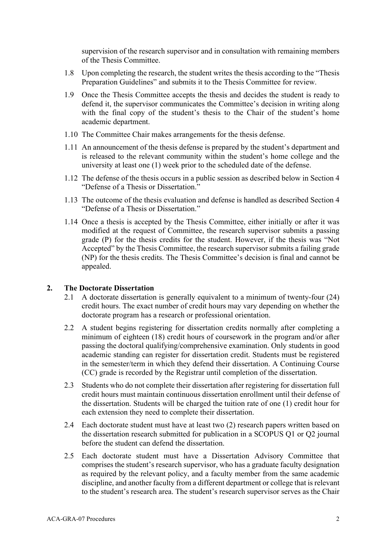supervision of the research supervisor and in consultation with remaining members of the Thesis Committee.

- 1.8 Upon completing the research, the student writes the thesis according to the "Thesis Preparation Guidelines" and submits it to the Thesis Committee for review.
- 1.9 Once the Thesis Committee accepts the thesis and decides the student is ready to defend it, the supervisor communicates the Committee's decision in writing along with the final copy of the student's thesis to the Chair of the student's home academic department.
- 1.10 The Committee Chair makes arrangements for the thesis defense.
- 1.11 An announcement of the thesis defense is prepared by the student's department and is released to the relevant community within the student's home college and the university at least one (1) week prior to the scheduled date of the defense.
- 1.12 The defense of the thesis occurs in a public session as described below in Section 4 "Defense of a Thesis or Dissertation."
- 1.13 The outcome of the thesis evaluation and defense is handled as described Section 4 "Defense of a Thesis or Dissertation."
- 1.14 Once a thesis is accepted by the Thesis Committee, either initially or after it was modified at the request of Committee, the research supervisor submits a passing grade (P) for the thesis credits for the student. However, if the thesis was "Not Accepted" by the Thesis Committee, the research supervisor submits a failing grade (NP) for the thesis credits. The Thesis Committee's decision is final and cannot be appealed.

## **2. The Doctorate Dissertation**

- 2.1 A doctorate dissertation is generally equivalent to a minimum of twenty-four (24) credit hours. The exact number of credit hours may vary depending on whether the doctorate program has a research or professional orientation.
- 2.2 A student begins registering for dissertation credits normally after completing a minimum of eighteen (18) credit hours of coursework in the program and/or after passing the doctoral qualifying/comprehensive examination. Only students in good academic standing can register for dissertation credit. Students must be registered in the semester/term in which they defend their dissertation. A Continuing Course (CC) grade is recorded by the Registrar until completion of the dissertation.
- 2.3 Students who do not complete their dissertation after registering for dissertation full credit hours must maintain continuous dissertation enrollment until their defense of the dissertation. Students will be charged the tuition rate of one (1) credit hour for each extension they need to complete their dissertation.
- 2.4 Each doctorate student must have at least two (2) research papers written based on the dissertation research submitted for publication in a SCOPUS Q1 or Q2 journal before the student can defend the dissertation.
- 2.5 Each doctorate student must have a Dissertation Advisory Committee that comprises the student's research supervisor, who has a graduate faculty designation as required by the relevant policy, and a faculty member from the same academic discipline, and another faculty from a different department or college that is relevant to the student's research area. The student's research supervisor serves as the Chair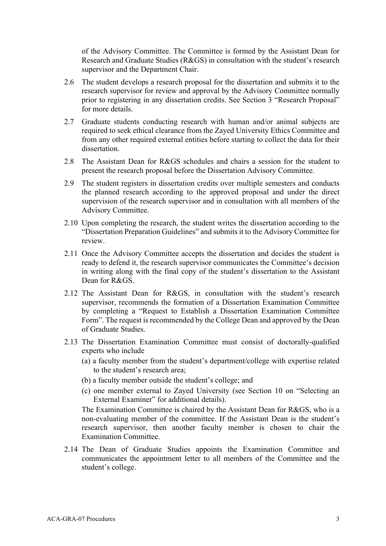of the Advisory Committee. The Committee is formed by the Assistant Dean for Research and Graduate Studies (R&GS) in consultation with the student's research supervisor and the Department Chair.

- 2.6 The student develops a research proposal for the dissertation and submits it to the research supervisor for review and approval by the Advisory Committee normally prior to registering in any dissertation credits. See Section 3 "Research Proposal" for more details.
- 2.7 Graduate students conducting research with human and/or animal subjects are required to seek ethical clearance from the Zayed University Ethics Committee and from any other required external entities before starting to collect the data for their dissertation.
- 2.8 The Assistant Dean for R&GS schedules and chairs a session for the student to present the research proposal before the Dissertation Advisory Committee.
- 2.9 The student registers in dissertation credits over multiple semesters and conducts the planned research according to the approved proposal and under the direct supervision of the research supervisor and in consultation with all members of the Advisory Committee.
- 2.10 Upon completing the research, the student writes the dissertation according to the "Dissertation Preparation Guidelines" and submits it to the Advisory Committee for review.
- 2.11 Once the Advisory Committee accepts the dissertation and decides the student is ready to defend it, the research supervisor communicates the Committee's decision in writing along with the final copy of the student's dissertation to the Assistant Dean for R&GS.
- 2.12 The Assistant Dean for R&GS, in consultation with the student's research supervisor, recommends the formation of a Dissertation Examination Committee by completing a "Request to Establish a Dissertation Examination Committee Form". The request is recommended by the College Dean and approved by the Dean of Graduate Studies.
- 2.13 The Dissertation Examination Committee must consist of doctorally-qualified experts who include
	- (a) a faculty member from the student's department/college with expertise related to the student's research area;
	- (b) a faculty member outside the student's college; and
	- (c) one member external to Zayed University (see Section 10 on "Selecting an External Examiner" for additional details).

The Examination Committee is chaired by the Assistant Dean for R&GS, who is a non-evaluating member of the committee. If the Assistant Dean is the student's research supervisor, then another faculty member is chosen to chair the Examination Committee.

2.14 The Dean of Graduate Studies appoints the Examination Committee and communicates the appointment letter to all members of the Committee and the student's college.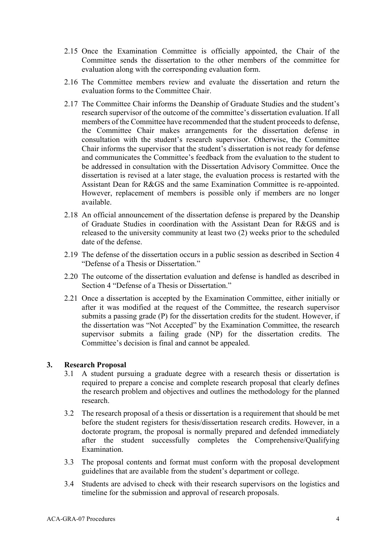- 2.15 Once the Examination Committee is officially appointed, the Chair of the Committee sends the dissertation to the other members of the committee for evaluation along with the corresponding evaluation form.
- 2.16 The Committee members review and evaluate the dissertation and return the evaluation forms to the Committee Chair.
- 2.17 The Committee Chair informs the Deanship of Graduate Studies and the student's research supervisor of the outcome of the committee's dissertation evaluation. If all members of the Committee have recommended that the student proceeds to defense, the Committee Chair makes arrangements for the dissertation defense in consultation with the student's research supervisor. Otherwise, the Committee Chair informs the supervisor that the student's dissertation is not ready for defense and communicates the Committee's feedback from the evaluation to the student to be addressed in consultation with the Dissertation Advisory Committee. Once the dissertation is revised at a later stage, the evaluation process is restarted with the Assistant Dean for R&GS and the same Examination Committee is re-appointed. However, replacement of members is possible only if members are no longer available.
- 2.18 An official announcement of the dissertation defense is prepared by the Deanship of Graduate Studies in coordination with the Assistant Dean for R&GS and is released to the university community at least two (2) weeks prior to the scheduled date of the defense.
- 2.19 The defense of the dissertation occurs in a public session as described in Section 4 "Defense of a Thesis or Dissertation."
- 2.20 The outcome of the dissertation evaluation and defense is handled as described in Section 4 "Defense of a Thesis or Dissertation."
- 2.21 Once a dissertation is accepted by the Examination Committee, either initially or after it was modified at the request of the Committee, the research supervisor submits a passing grade (P) for the dissertation credits for the student. However, if the dissertation was "Not Accepted" by the Examination Committee, the research supervisor submits a failing grade (NP) for the dissertation credits. The Committee's decision is final and cannot be appealed.

## **3. Research Proposal**

- 3.1 A student pursuing a graduate degree with a research thesis or dissertation is required to prepare a concise and complete research proposal that clearly defines the research problem and objectives and outlines the methodology for the planned research.
- 3.2 The research proposal of a thesis or dissertation is a requirement that should be met before the student registers for thesis/dissertation research credits. However, in a doctorate program, the proposal is normally prepared and defended immediately after the student successfully completes the Comprehensive/Qualifying Examination.
- 3.3 The proposal contents and format must conform with the proposal development guidelines that are available from the student's department or college.
- 3.4 Students are advised to check with their research supervisors on the logistics and timeline for the submission and approval of research proposals.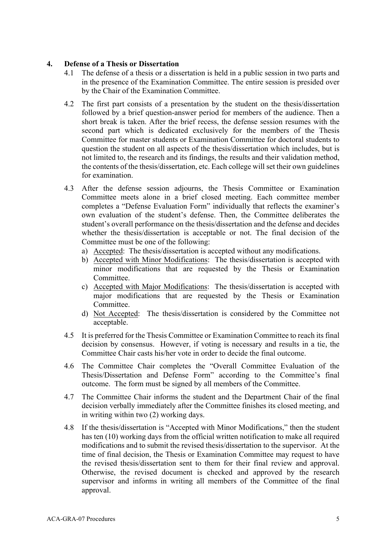# **4. Defense of a Thesis or Dissertation**

- 4.1 The defense of a thesis or a dissertation is held in a public session in two parts and in the presence of the Examination Committee. The entire session is presided over by the Chair of the Examination Committee.
- 4.2 The first part consists of a presentation by the student on the thesis/dissertation followed by a brief question-answer period for members of the audience. Then a short break is taken. After the brief recess, the defense session resumes with the second part which is dedicated exclusively for the members of the Thesis Committee for master students or Examination Committee for doctoral students to question the student on all aspects of the thesis/dissertation which includes, but is not limited to, the research and its findings, the results and their validation method, the contents of the thesis/dissertation, etc. Each college will set their own guidelines for examination.
- 4.3 After the defense session adjourns, the Thesis Committee or Examination Committee meets alone in a brief closed meeting. Each committee member completes a "Defense Evaluation Form" individually that reflects the examiner's own evaluation of the student's defense. Then, the Committee deliberates the student's overall performance on the thesis/dissertation and the defense and decides whether the thesis/dissertation is acceptable or not. The final decision of the Committee must be one of the following:
	- a) Accepted: The thesis/dissertation is accepted without any modifications.
	- b) Accepted with Minor Modifications: The thesis/dissertation is accepted with minor modifications that are requested by the Thesis or Examination **Committee**
	- c) Accepted with Major Modifications: The thesis/dissertation is accepted with major modifications that are requested by the Thesis or Examination **Committee**
	- d) Not Accepted: The thesis/dissertation is considered by the Committee not acceptable.
- 4.5 It is preferred for the Thesis Committee or Examination Committee to reach its final decision by consensus. However, if voting is necessary and results in a tie, the Committee Chair casts his/her vote in order to decide the final outcome.
- 4.6 The Committee Chair completes the "Overall Committee Evaluation of the Thesis/Dissertation and Defense Form" according to the Committee's final outcome. The form must be signed by all members of the Committee.
- 4.7 The Committee Chair informs the student and the Department Chair of the final decision verbally immediately after the Committee finishes its closed meeting, and in writing within two (2) working days.
- 4.8 If the thesis/dissertation is "Accepted with Minor Modifications," then the student has ten (10) working days from the official written notification to make all required modifications and to submit the revised thesis/dissertation to the supervisor. At the time of final decision, the Thesis or Examination Committee may request to have the revised thesis/dissertation sent to them for their final review and approval. Otherwise, the revised document is checked and approved by the research supervisor and informs in writing all members of the Committee of the final approval.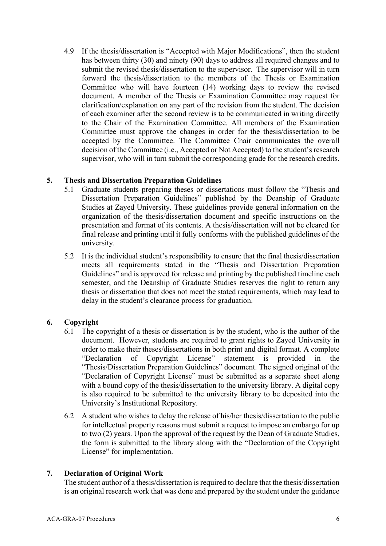4.9 If the thesis/dissertation is "Accepted with Major Modifications", then the student has between thirty (30) and ninety (90) days to address all required changes and to submit the revised thesis/dissertation to the supervisor. The supervisor will in turn forward the thesis/dissertation to the members of the Thesis or Examination Committee who will have fourteen (14) working days to review the revised document. A member of the Thesis or Examination Committee may request for clarification/explanation on any part of the revision from the student. The decision of each examiner after the second review is to be communicated in writing directly to the Chair of the Examination Committee. All members of the Examination Committee must approve the changes in order for the thesis/dissertation to be accepted by the Committee. The Committee Chair communicates the overall decision of the Committee (i.e., Accepted or Not Accepted) to the student's research supervisor, who will in turn submit the corresponding grade for the research credits.

## **5. Thesis and Dissertation Preparation Guidelines**

- 5.1 Graduate students preparing theses or dissertations must follow the "Thesis and Dissertation Preparation Guidelines" published by the Deanship of Graduate Studies at Zayed University. These guidelines provide general information on the organization of the thesis/dissertation document and specific instructions on the presentation and format of its contents. A thesis/dissertation will not be cleared for final release and printing until it fully conforms with the published guidelines of the university.
- 5.2 It is the individual student's responsibility to ensure that the final thesis/dissertation meets all requirements stated in the "Thesis and Dissertation Preparation Guidelines" and is approved for release and printing by the published timeline each semester, and the Deanship of Graduate Studies reserves the right to return any thesis or dissertation that does not meet the stated requirements, which may lead to delay in the student's clearance process for graduation.

# **6. Copyright**

- 6.1 The copyright of a thesis or dissertation is by the student, who is the author of the document. However, students are required to grant rights to Zayed University in order to make their theses/dissertations in both print and digital format. A complete "Declaration of Copyright License" statement is provided in the "Thesis/Dissertation Preparation Guidelines" document. The signed original of the "Declaration of Copyright License" must be submitted as a separate sheet along with a bound copy of the thesis/dissertation to the university library. A digital copy is also required to be submitted to the university library to be deposited into the University's Institutional Repository.
- 6.2 A student who wishes to delay the release of his/her thesis/dissertation to the public for intellectual property reasons must submit a request to impose an embargo for up to two (2) years. Upon the approval of the request by the Dean of Graduate Studies, the form is submitted to the library along with the "Declaration of the Copyright License" for implementation.

# **7. Declaration of Original Work**

The student author of a thesis/dissertation is required to declare that the thesis/dissertation is an original research work that was done and prepared by the student under the guidance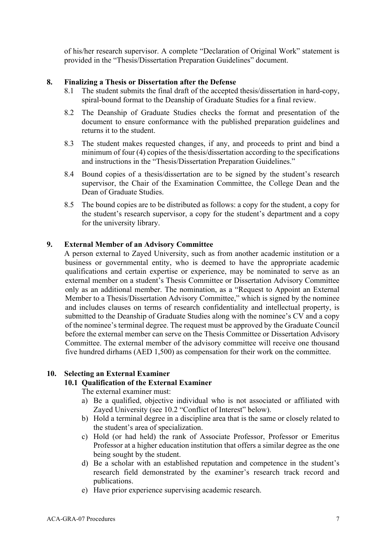of his/her research supervisor. A complete "Declaration of Original Work" statement is provided in the "Thesis/Dissertation Preparation Guidelines" document.

#### **8. Finalizing a Thesis or Dissertation after the Defense**

- 8.1 The student submits the final draft of the accepted thesis/dissertation in hard-copy, spiral-bound format to the Deanship of Graduate Studies for a final review.
- 8.2 The Deanship of Graduate Studies checks the format and presentation of the document to ensure conformance with the published preparation guidelines and returns it to the student.
- 8.3 The student makes requested changes, if any, and proceeds to print and bind a minimum of four (4) copies of the thesis/dissertation according to the specifications and instructions in the "Thesis/Dissertation Preparation Guidelines."
- 8.4 Bound copies of a thesis/dissertation are to be signed by the student's research supervisor, the Chair of the Examination Committee, the College Dean and the Dean of Graduate Studies.
- 8.5 The bound copies are to be distributed as follows: a copy for the student, a copy for the student's research supervisor, a copy for the student's department and a copy for the university library.

## **9. External Member of an Advisory Committee**

A person external to Zayed University, such as from another academic institution or a business or governmental entity, who is deemed to have the appropriate academic qualifications and certain expertise or experience, may be nominated to serve as an external member on a student's Thesis Committee or Dissertation Advisory Committee only as an additional member. The nomination, as a "Request to Appoint an External Member to a Thesis/Dissertation Advisory Committee," which is signed by the nominee and includes clauses on terms of research confidentiality and intellectual property, is submitted to the Deanship of Graduate Studies along with the nominee's CV and a copy of the nominee's terminal degree. The request must be approved by the Graduate Council before the external member can serve on the Thesis Committee or Dissertation Advisory Committee. The external member of the advisory committee will receive one thousand five hundred dirhams (AED 1,500) as compensation for their work on the committee.

# **10. Selecting an External Examiner**

#### **10.1 Qualification of the External Examiner**

The external examiner must:

- a) Be a qualified, objective individual who is not associated or affiliated with Zayed University (see 10.2 "Conflict of Interest" below).
- b) Hold a terminal degree in a discipline area that is the same or closely related to the student's area of specialization.
- c) Hold (or had held) the rank of Associate Professor, Professor or Emeritus Professor at a higher education institution that offers a similar degree as the one being sought by the student.
- d) Be a scholar with an established reputation and competence in the student's research field demonstrated by the examiner's research track record and publications.
- e) Have prior experience supervising academic research.